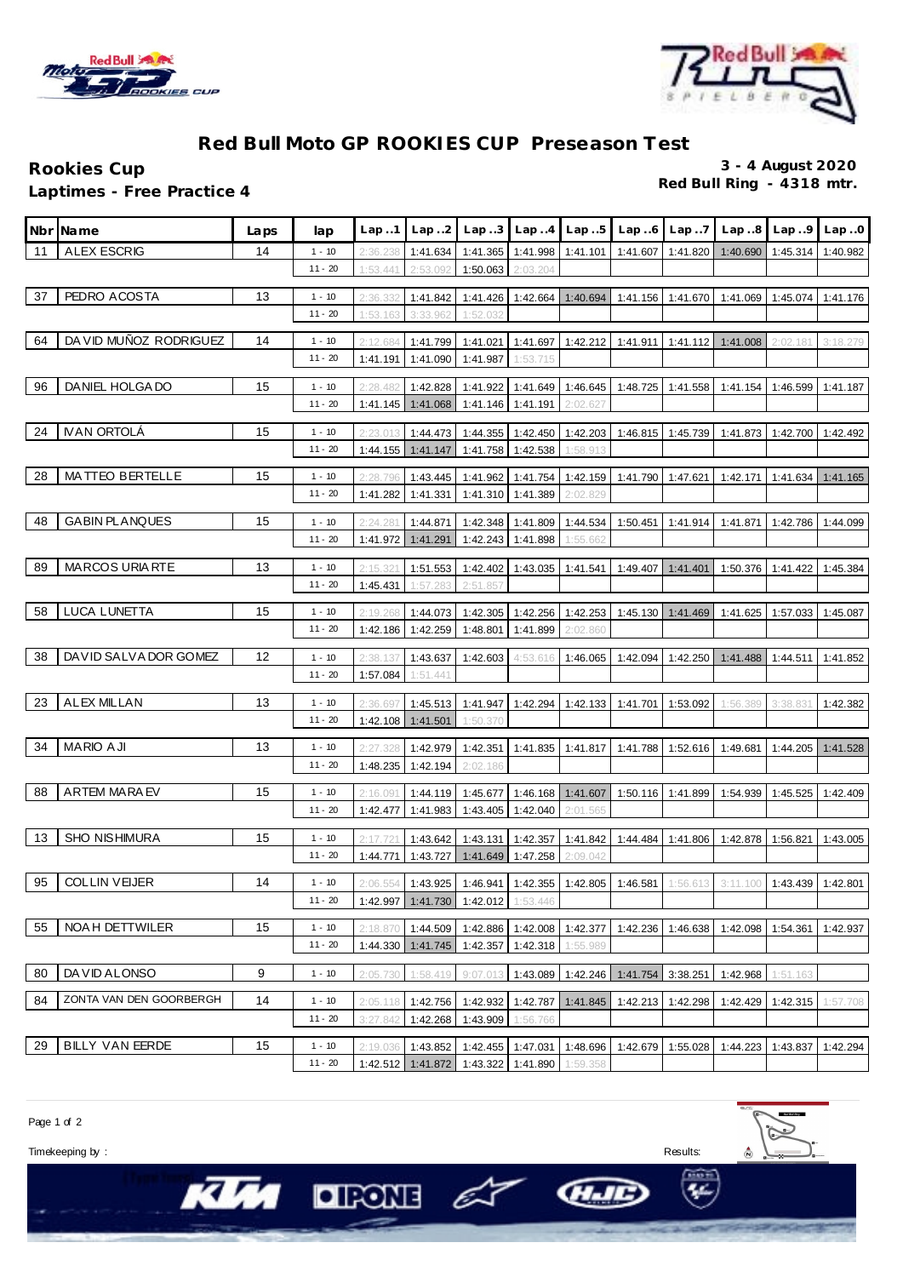



## **Red Bull Moto GP ROOKIES CUP Preseason Test**

**Rookies Cup 3 - 4 August 2020 Laptimes - Free Practice 4** 

| <b>Nbr</b> | <b>Name</b>             | Laps | lap                   | Lap.1               | Lap.2                | Lap.3                                        | Lap.4                | Lap.5                               | Lap.6                      | Lap.7    | Lap.8             | Lap.9                                                                                            | Lap.0    |
|------------|-------------------------|------|-----------------------|---------------------|----------------------|----------------------------------------------|----------------------|-------------------------------------|----------------------------|----------|-------------------|--------------------------------------------------------------------------------------------------|----------|
| 11         | <b>ALEX ESCRIG</b>      | 14   | $1 - 10$              | 2:36.238            | 1:41.634             |                                              |                      | 1:41.365 1:41.998 1:41.101 1:41.607 |                            | 1:41.820 | 1:40.690 1:45.314 |                                                                                                  | 1:40.982 |
|            |                         |      | $11 - 20$             | 1:53.441            | 2:53.092             | 1:50.063                                     | 2:03.204             |                                     |                            |          |                   |                                                                                                  |          |
| 37         | PEDRO ACOSTA            | 13   | $1 - 10$              | 2:36.332            | 1:41.842             |                                              | $1:41.426$ 1:42.664  | 1:40.694                            | 1:41.156                   | 1:41.670 |                   | 1:41.069 1:45.074                                                                                | 1:41.176 |
|            |                         |      | $11 - 20$             | 1:53.163            | 3:33.962             | 1:52.032                                     |                      |                                     |                            |          |                   |                                                                                                  |          |
| 64         | DA VID MUÑOZ RODRIGUEZ  | 14   | $1 - 10$              | 2:12.684            | 1:41.799             | 1:41.021                                     | 1:41.697             | 1:42.212                            | 1:41.911                   | 1:41.112 | 1:41.008          | 2:02.181                                                                                         | 3:18.279 |
|            |                         |      | $11 - 20$             | 1:41.191            | 1:41.090             | 1:41.987                                     | 1:53.715             |                                     |                            |          |                   |                                                                                                  |          |
| 96         | DANIEL HOLGA DO         | 15   | $1 - 10$              | 2:28.482            | 1:42.828             | 1:41.922                                     | 1:41.649             | 1:46.645                            | 1:48.725                   | 1:41.558 | 1:41.154          | 1:46.599                                                                                         | 1:41.187 |
|            |                         |      | $11 - 20$             | 1:41.145            | 1:41.068             | 1:41.146                                     | 1:41.191             | 2:02.627                            |                            |          |                   |                                                                                                  |          |
| 24         | <b>IVAN ORTOLÁ</b>      |      |                       |                     |                      |                                              |                      |                                     |                            |          |                   |                                                                                                  |          |
|            |                         | 15   | $1 - 10$<br>$11 - 20$ | 2:23.01<br>1:44.155 | 1:44.473<br>1:41.147 | 1:44.355<br>1:41.758                         | 1:42.450<br>1:42.538 | 1:42.203<br>1:58.913                | 1:46.815                   | 1:45.739 | 1:41.873          | 1:42.700                                                                                         | 1:42.492 |
|            |                         |      |                       |                     |                      |                                              |                      |                                     |                            |          |                   |                                                                                                  |          |
| 28         | MATTEO BERTELLE         | 15   | $1 - 10$              | 2:28.796            | 1:43.445             | 1:41.962                                     | 1:41.754             | 1:42.159                            | 1:41.790                   | 1:47.621 | 1:42.171          | 1:41.634                                                                                         | 1:41.165 |
|            |                         |      | $11 - 20$             | 1:41.282            | 1:41.331             | 1:41.310                                     | 1:41.389             | 2:02.829                            |                            |          |                   |                                                                                                  |          |
| 48         | <b>GABIN PLANQUES</b>   | 15   | $1 - 10$              | 2:24.28'            | 1:44.871             | 1:42.348                                     | 1:41.809             | 1:44.534                            | 1:50.451                   | 1:41.914 | 1:41.871          | 1:42.786                                                                                         | 1:44.099 |
|            |                         |      | $11 - 20$             | 1:41.972            | 1:41.291             | 1:42.243                                     | 1:41.898             | 1:55.662                            |                            |          |                   |                                                                                                  |          |
| 89         | <b>MARCOS URIARTE</b>   | 13   | $1 - 10$              | 2:15.321            | 1:51.553             | 1:42.402                                     | 1:43.035             | 1:41.541                            | 1:49.407                   | 1:41.401 | 1:50.376          | 1:41.422                                                                                         | 1:45.384 |
|            |                         |      | $11 - 20$             | 1:45.431            | 1:57.283             | 2:51.857                                     |                      |                                     |                            |          |                   |                                                                                                  |          |
| 58         | LUCA LUNETTA            | 15   | $1 - 10$              | 2:19.268            | 1:44.073             | 1:42.305                                     | 1:42.256             | 1:42.253                            | 1:45.130                   | 1:41.469 | 1:41.625          | 1:57.033                                                                                         | 1:45.087 |
|            |                         |      | $11 - 20$             | 1:42.186            | 1:42.259             | 1:48.801                                     | 1:41.899             | 2:02.860                            |                            |          |                   |                                                                                                  |          |
| 38         | DAVID SALVA DOR GOMEZ   | 12   | $1 - 10$              | 2:38.137            | 1:43.637             | 1:42.603                                     | 4:53.616             | 1:46.065                            | 1:42.094                   | 1:42.250 | 1:41.488          | 1:44.511                                                                                         | 1:41.852 |
|            |                         |      | $11 - 20$             | 1:57.084            | 1:51.441             |                                              |                      |                                     |                            |          |                   |                                                                                                  |          |
| 23         | <b>ALEX MILLAN</b>      |      |                       |                     |                      |                                              |                      |                                     |                            |          |                   |                                                                                                  |          |
|            |                         | 13   | $1 - 10$<br>$11 - 20$ | 2:36.69<br>1:42.108 | 1:45.513<br>1:41.501 | 1:41.947<br>1:50.370                         | 1:42.294             | 1:42.133                            | 1:41.701                   | 1:53.092 | 1:56.389          | 3:38.83'                                                                                         | 1:42.382 |
|            |                         |      |                       |                     |                      |                                              |                      |                                     |                            |          |                   |                                                                                                  |          |
| 34         | <b>MARIO AJI</b>        | 13   | $1 - 10$              | 2:27.328            | 1:42.979             | 1:42.351                                     | 1:41.835             | 1:41.817                            | 1:41.788                   | 1:52.616 | 1:49.681          | 1:44.205                                                                                         | 1:41.528 |
|            |                         |      | $11 - 20$             | 1:48.235            | 1:42.194             | 2:02.186                                     |                      |                                     |                            |          |                   |                                                                                                  |          |
| 88         | <b>ARTEM MARAEV</b>     | 15   | $1 - 10$              | 2:16.091            | 1:44.119             | 1:45.677                                     | 1:46.168             | 1:41.607                            | 1:50.116                   | 1:41.899 | 1:54.939          | 1:45.525                                                                                         | 1:42.409 |
|            |                         |      | $11 - 20$             | 1:42.477            | 1:41.983             | 1:43.405                                     | 1:42.040             | 2:01.565                            |                            |          |                   |                                                                                                  |          |
| 13         | <b>SHO NISHIMURA</b>    | 15   | $1 - 10$              | 2:17.721            | 1:43.642             |                                              | 1:43.131 1:42.357    | 1:41.842                            | 1:44.484                   | 1:41.806 | 1:42.878          | 1:56.821                                                                                         | 1:43.005 |
|            |                         |      | $11 - 20$             | 1:44.771            | 1:43.727             | 1:41.649                                     | 1:47.258             | 2:09.042                            |                            |          |                   |                                                                                                  |          |
| 95         | <b>COLLIN VEIJER</b>    | 14   | $1 - 10$              | 2:06.554            |                      |                                              |                      |                                     |                            |          |                   | 1:43.925   1:46.941   1:42.355   1:42.805   1:46.581   1:56.613   3:11.100   1:43.439   1:42.801 |          |
|            |                         |      | $11 - 20$             |                     |                      | 1:42.997 1:41.730 1:42.012 1:53.446          |                      |                                     |                            |          |                   |                                                                                                  |          |
| 55         | NOA H DETTWILER         | 15   | $1 - 10$              | 2:18.870            |                      | 1:44.509   1:42.886   1:42.008   1:42.377    |                      |                                     | 1:42.236                   | 1:46.638 | 1:42.098          | 1:54.361                                                                                         | 1:42.937 |
|            |                         |      | $11 - 20$             |                     |                      | 1:44.330 1:41.745 1:42.357 1:42.318          |                      | 1:55.989                            |                            |          |                   |                                                                                                  |          |
|            |                         |      |                       |                     |                      |                                              |                      |                                     |                            |          |                   |                                                                                                  |          |
| 80         | DA VID ALONSO           | 9    | $1 - 10$              | 2:05.730            | 1:58.419             | 9:07.013                                     |                      |                                     | 1:43.089 1:42.246 1:41.754 | 3:38.251 | 1:42.968          | 1:51.163                                                                                         |          |
| 84         | ZONTA VAN DEN GOORBERGH | 14   | $1 - 10$              | 2:05.118            |                      | 1:42.756 1:42.932 1:42.787                   |                      | 1:41.845                            | 1:42.213                   | 1:42.298 | 1:42.429          | 1:42.315                                                                                         | 1:57.708 |
|            |                         |      | $11 - 20$             | 3:27.842            |                      | 1:42.268 1:43.909                            | 1:56.766             |                                     |                            |          |                   |                                                                                                  |          |
| 29         | <b>BILLY VAN EERDE</b>  | 15   | $1 - 10$              | 2:19.036            |                      | 1:43.852 1:42.455 1:47.031 1:48.696 1:42.679 |                      |                                     |                            | 1:55.028 | 1:44.223          | 1:43.837                                                                                         | 1:42.294 |
|            |                         |      | $11 - 20$             |                     |                      | 1:42.512 1:41.872 1:43.322 1:41.890 1:59.358 |                      |                                     |                            |          |                   |                                                                                                  |          |

Page 1 of 2

Timekeeping by : Results:

**KIM** 

 $O$  FONE  $\epsilon$ 



HIE